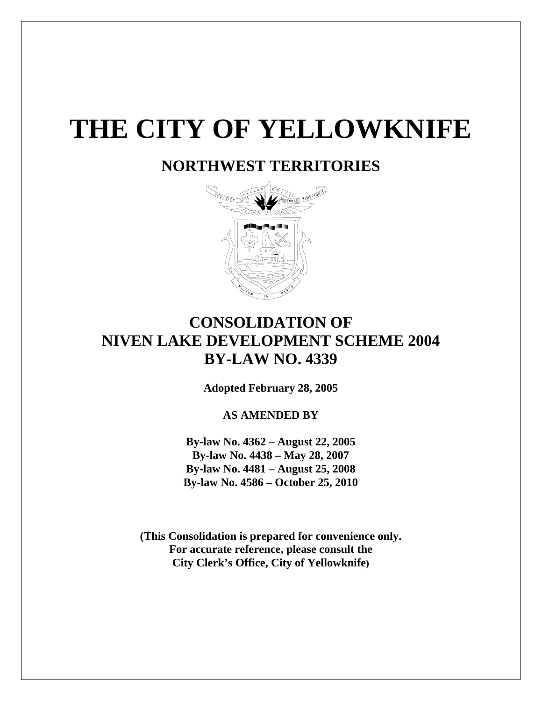# **THE CITY OF YELLOWKNIFE**

## **NORTHWEST TERRITORIES**



## **CONSOLIDATION OF NIVEN LAKE DEVELOPMENT SCHEME 2004 BY-LAW NO. 4339**

**Adopted February 28, 2005** 

**AS AMENDED BY** 

**By-law No. 4362 – August 22, 2005 By-law No. 4438 – May 28, 2007 By-law No. 4481 – August 25, 2008 By-law No. 4586 – October 25, 2010** 

**(This Consolidation is prepared for convenience only. For accurate reference, please consult the City Clerk's Office, City of Yellowknife)**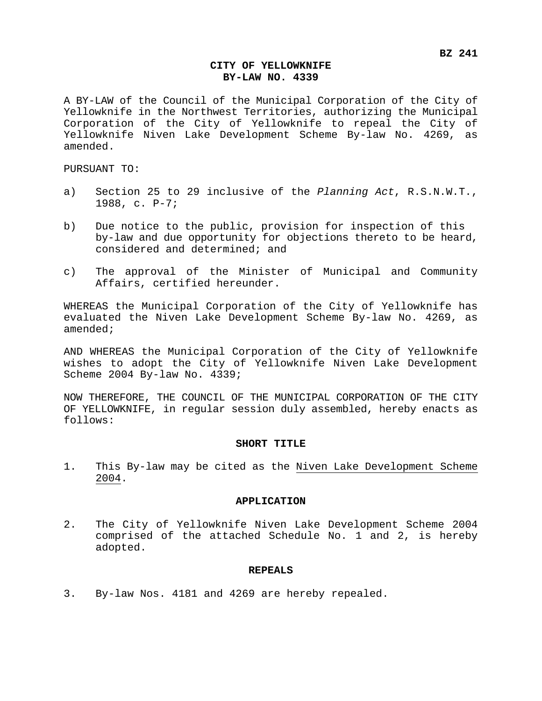#### **CITY OF YELLOWKNIFE BY-LAW NO. 4339**

A BY-LAW of the Council of the Municipal Corporation of the City of Yellowknife in the Northwest Territories, authorizing the Municipal Corporation of the City of Yellowknife to repeal the City of Yellowknife Niven Lake Development Scheme By-law No. 4269, as amended.

PURSUANT TO:

- a) Section 25 to 29 inclusive of the *Planning Act*, R.S.N.W.T., 1988, c. P-7;
- b) Due notice to the public, provision for inspection of this by-law and due opportunity for objections thereto to be heard, considered and determined; and
- c) The approval of the Minister of Municipal and Community Affairs, certified hereunder.

WHEREAS the Municipal Corporation of the City of Yellowknife has evaluated the Niven Lake Development Scheme By-law No. 4269, as amended;

AND WHEREAS the Municipal Corporation of the City of Yellowknife wishes to adopt the City of Yellowknife Niven Lake Development Scheme 2004 By-law No. 4339;

NOW THEREFORE, THE COUNCIL OF THE MUNICIPAL CORPORATION OF THE CITY OF YELLOWKNIFE, in regular session duly assembled, hereby enacts as follows:

#### **SHORT TITLE**

1. This By-law may be cited as the Niven Lake Development Scheme 2004.

#### **APPLICATION**

2. The City of Yellowknife Niven Lake Development Scheme 2004 comprised of the attached Schedule No. 1 and 2, is hereby adopted.

#### **REPEALS**

3. By-law Nos. 4181 and 4269 are hereby repealed.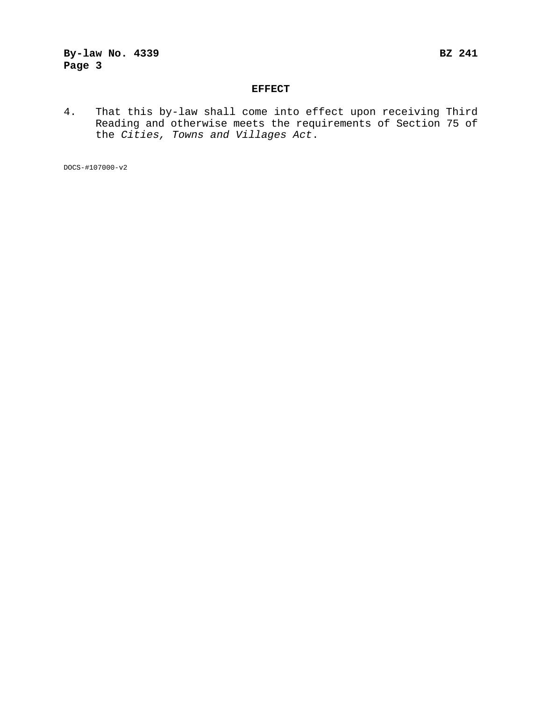### **By-law No. 4339 BZ 241 Page 3**

#### **EFFECT**

4. That this by-law shall come into effect upon receiving Third Reading and otherwise meets the requirements of Section 75 of the *Cities, Towns and Villages Act*.

DOCS-#107000-v2